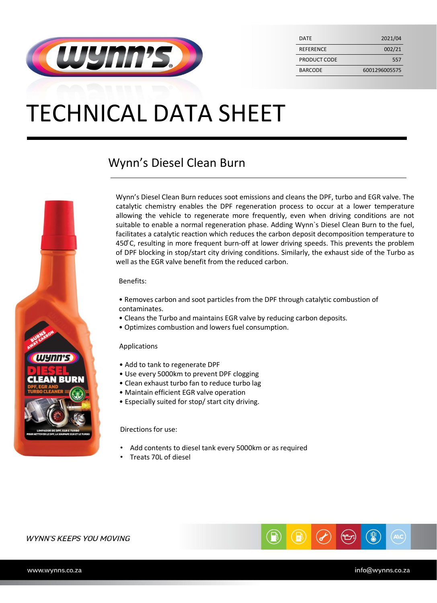

| <b>DATF</b>      | 2021/04       |
|------------------|---------------|
| <b>REFERENCE</b> | 002/21        |
| PRODUCT CODE     | 557           |
| <b>BARCODE</b>   | 6001296005575 |

## TECHNICAL DATA SHEET

## Wynn's Diesel Clean Burn



Wynn's Diesel Clean Burn reduces soot emissions and cleans the DPF, turbo and EGR valve. The catalytic chemistry enables the DPF regeneration process to occur at a lower temperature allowing the vehicle to regenerate more frequently, even when driving conditions are not suitable to enable a normal regeneration phase. Adding Wynn`s Diesel Clean Burn to the fuel, facilitates a catalytic reaction which reduces the carbon deposit decomposition temperature to 450°C, resulting in more frequent burn-off at lower driving speeds. This prevents the problem of DPF blocking in stop/start city driving conditions. Similarly, the exhaust side of the Turbo as well as the EGR valve benefit from the reduced carbon.

#### Benefits:

- Removes carbon and soot particles from the DPF through catalytic combustion of contaminates.
- Cleans the Turbo and maintains EGR valve by reducing carbon deposits.
- Optimizes combustion and lowers fuel consumption.

#### Applications

- Add to tank to regenerate DPF
- Use every 5000km to prevent DPF clogging
- Clean exhaust turbo fan to reduce turbo lag
- Maintain efficient EGR valve operation
- Especially suited for stop/ start city driving.

#### Directions for use:

- Add contents to diesel tank every 5000km or as required
- Treats 70L of diesel